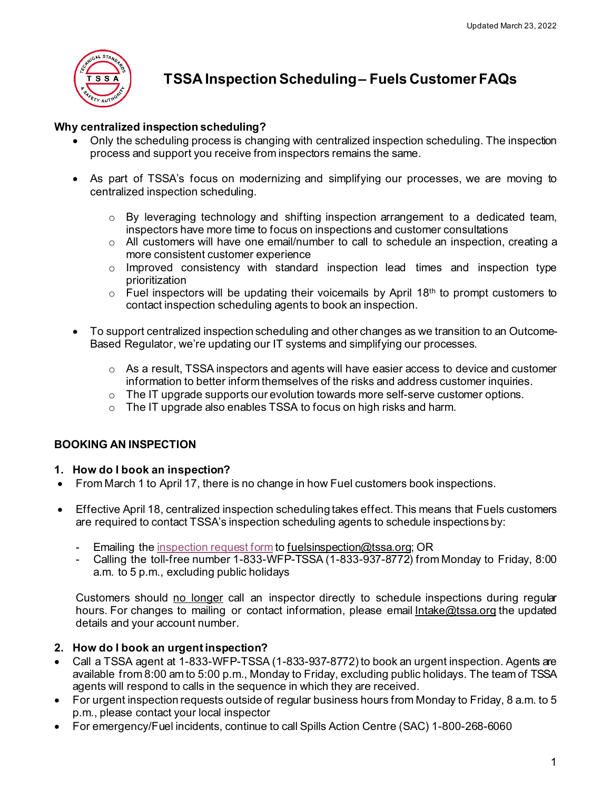

# **TSSA Inspection Scheduling – Fuels Customer FAQs**

# **Why centralized inspection scheduling?**

- Only the scheduling process is changing with centralized inspection scheduling. The inspection process and support you receive from inspectors remains the same.
- As part of TSSA's focus on modernizing and simplifying our processes, we are moving to centralized inspection scheduling.
	- $\circ$  By leveraging technology and shifting inspection arrangement to a dedicated team, inspectors have more time to focus on inspections and customer consultations
	- $\circ$  All customers will have one email/number to call to schedule an inspection, creating a more consistent customer experience
	- o Improved consistency with standard inspection lead times and inspection type prioritization
	- $\circ$  Fuel inspectors will be updating their voicemails by April 18<sup>th</sup> to prompt customers to contact inspection scheduling agents to book an inspection.
- To support centralized inspection scheduling and other changes as we transition to an Outcome-Based Regulator, we're updating our IT systems and simplifying our processes.
	- $\circ$  As a result, TSSA inspectors and agents will have easier access to device and customer information to better inform themselves of the risks and address customer inquiries.
	- $\circ$  The IT upgrade supports our evolution towards more self-serve customer options.
	- o The IT upgrade also enables TSSA to focus on high risks and harm.

# **BOOKING AN INSPECTION**

# **1. How do I book an inspection?**

- From March 1 to April 17, there is no change in how Fuel customers book inspections.
- Effective April 18, centralized inspection scheduling takes effect. This means that Fuels customers are required to contact TSSA's inspection scheduling agents to schedule inspections by:
	- Emailing the [inspection request form](https://icreate.tssa.org/11111072_TSSA/en/fuels/resources/Documents/FS-Customer-Inspection-Request-v1.1.pdf) t[o fuelsinspection@tssa.org](mailto:fuelsinspection@tssa.org); OR
	- Calling the toll-free number 1-833-WFP-TSSA (1-833-937-8772) from Monday to Friday, 8:00 a.m. to 5 p.m., excluding public holidays

Customers should no longer call an inspector directly to schedule inspections during regular hours. For changes to mailing or contact information, please email [Intake@tssa.org](mailto:Intake@tssa.org) the updated details and your account number.

# **2. How do I book an urgent inspection?**

- Call a TSSA agent at 1-833-WFP-TSSA (1-833-937-8772) to book an urgent inspection. Agents are available from 8:00 am to 5:00 p.m., Monday to Friday, excluding public holidays. The team of TSSA agents will respond to calls in the sequence in which they are received.
- For urgent inspection requests outside of regular business hours from Monday to Friday, 8 a.m. to 5 p.m., please contact your local inspector
- For emergency/Fuel incidents, continue to call Spills Action Centre (SAC) 1-800-268-6060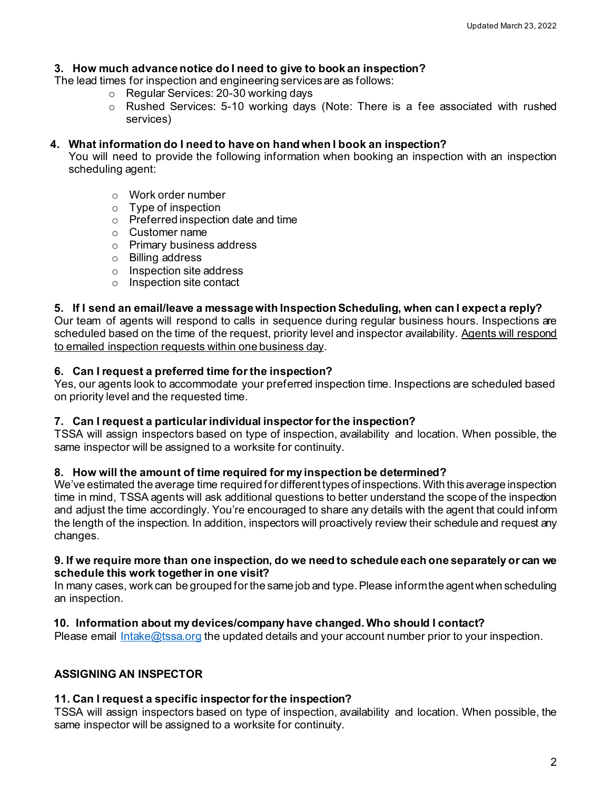## **3. How much advance notice do I need to give to book an inspection?**

The lead times for inspection and engineering services are as follows:

- o Regular Services: 20-30 working days
- o Rushed Services: 5-10 working days (Note: There is a fee associated with rushed services)

## **4. What information do I need to have on hand when I book an inspection?**

You will need to provide the following information when booking an inspection with an inspection scheduling agent:

- o Work order number
- o Type of inspection
- $\circ$  Preferred inspection date and time
- o Customer name
- o Primary business address
- o Billing address
- o Inspection site address
- o Inspection site contact

#### **5. If I send an email/leave a message with Inspection Scheduling, when can I expect a reply?**

Our team of agents will respond to calls in sequence during regular business hours. Inspections are scheduled based on the time of the request, priority level and inspector availability. Agents will respond to emailed inspection requests within one business day.

#### **6. Can I request a preferred time for the inspection?**

Yes, our agents look to accommodate your preferred inspection time. Inspections are scheduled based on priority level and the requested time.

#### **7. Can I request a particular individual inspector for the inspection?**

TSSA will assign inspectors based on type of inspection, availability and location. When possible, the same inspector will be assigned to a worksite for continuity.

#### **8. How will the amount of time required for my inspection be determined?**

We've estimated the average time required for different types of inspections. With this average inspection time in mind, TSSA agents will ask additional questions to better understand the scope of the inspection and adjust the time accordingly. You're encouraged to share any details with the agent that could inform the length of the inspection. In addition, inspectors will proactively review their schedule and request any changes.

#### **9. If we require more than one inspection, do we need to schedule each one separately or can we schedule this work together in one visit?**

In many cases, work can be grouped for the same job and type. Please inform the agent when scheduling an inspection.

#### **10. Information about my devices/company have changed. Who should I contact?**

Please email [Intake@tssa.org](mailto:Intake@tssa.org) the updated details and your account number prior to your inspection.

#### **ASSIGNING AN INSPECTOR**

#### **11. Can I request a specific inspector for the inspection?**

TSSA will assign inspectors based on type of inspection, availability and location. When possible, the same inspector will be assigned to a worksite for continuity.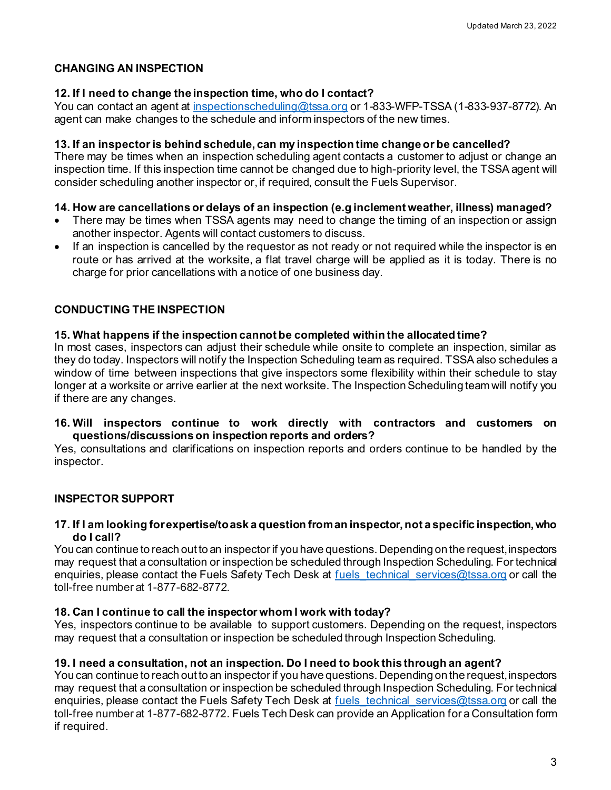# **CHANGING AN INSPECTION**

## **12. If I need to change the inspection time, who do I contact?**

You can contact an agent at [inspectionscheduling@tssa.org](mailto:inspectionscheduling@tssa.org) or 1-833-WFP-TSSA (1-833-937-8772). An agent can make changes to the schedule and inform inspectors of the new times.

#### **13. If an inspector is behind schedule, can my inspection time change or be cancelled?**

There may be times when an inspection scheduling agent contacts a customer to adjust or change an inspection time. If this inspection time cannot be changed due to high-priority level, the TSSA agent will consider scheduling another inspector or, if required, consult the Fuels Supervisor.

#### **14. How are cancellations or delays of an inspection (e.g inclement weather, illness) managed?**

- There may be times when TSSA agents may need to change the timing of an inspection or assign another inspector. Agents will contact customers to discuss.
- If an inspection is cancelled by the requestor as not ready or not required while the inspector is en route or has arrived at the worksite, a flat travel charge will be applied as it is today. There is no charge for prior cancellations with a notice of one business day.

# **CONDUCTING THE INSPECTION**

## **15. What happens if the inspection cannot be completed within the allocated time?**

In most cases, inspectors can adjust their schedule while onsite to complete an inspection, similar as they do today. Inspectors will notify the Inspection Scheduling team as required. TSSA also schedules a window of time between inspections that give inspectors some flexibility within their schedule to stay longer at a worksite or arrive earlier at the next worksite. The Inspection Scheduling team will notify you if there are any changes.

#### **16. Will inspectors continue to work directly with contractors and customers on questions/discussions on inspection reports and orders?**

Yes, consultations and clarifications on inspection reports and orders continue to be handled by the inspector.

# **INSPECTOR SUPPORT**

#### **17. If I am looking for expertise/to ask a question from an inspector, not a specific inspection, who do I call?**

You can continue to reach out to an inspector if you have questions. Depending on the request, inspectors may request that a consultation or inspection be scheduled through Inspection Scheduling. For technical enquiries, please contact the Fuels Safety Tech Desk at fuels technical services@tssa.org or call the toll-free number at 1-877-682-8772.

# **18. Can I continue to call the inspector whom I work with today?**

Yes, inspectors continue to be available to support customers. Depending on the request, inspectors may request that a consultation or inspection be scheduled through Inspection Scheduling.

#### **19. I need a consultation, not an inspection. Do I need to book this through an agent?**

You can continue to reach out to an inspector if you have questions. Depending on the request, inspectors may request that a consultation or inspection be scheduled through Inspection Scheduling. For technical enquiries, please contact the Fuels Safety Tech Desk at fuels technical services@tssa.org or call the toll-free number at 1-877-682-8772. Fuels Tech Desk can provide an Application for a Consultation form if required.